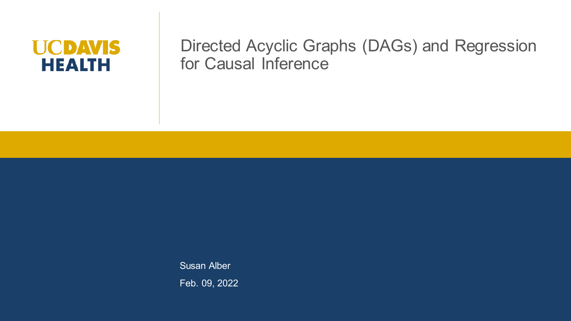## **UCDAVIS HEALTH**

#### Directed Acyclic Graphs (DAGs) and Regression for Causal Inference

**Susan Alber** Feb. 09, 2022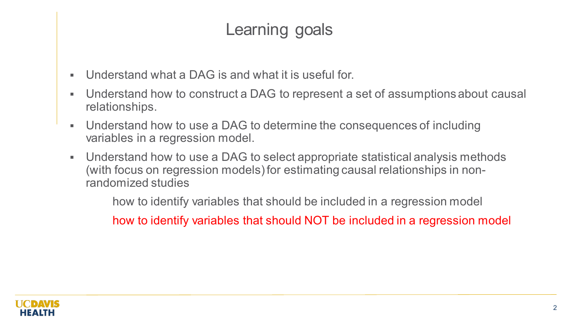## Learning goals

- Understand what a DAG is and what it is useful for.
- Understand how to construct a DAG to represent a set of assumptions about causal relationships.
- Understand how to use a DAG to determine the consequences of including variables in a regression model.
- Understand how to use a DAG to select appropriate statistical analysis methods (with focus on regression models) for estimating causal relationships in nonrandomized studies

how to identify variables that should be included in a regression model

how to identify variables that should NOT be included in a regression model

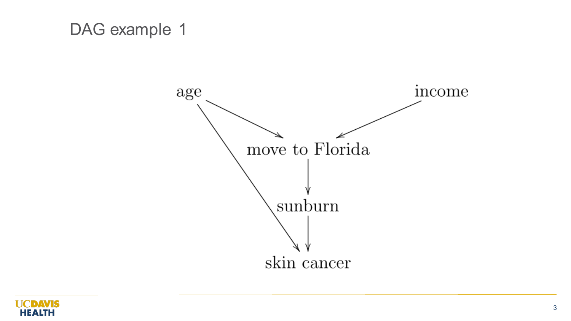

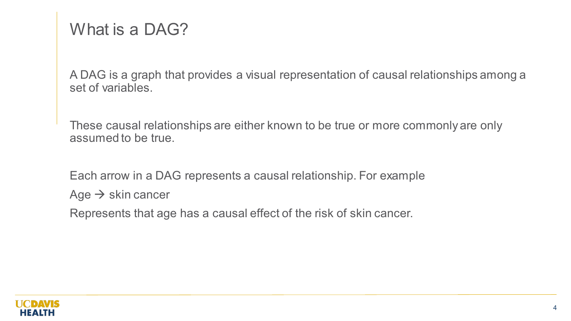## What is a DAG?

A DAG is a graph that provides a visual representation of causal relationships among a set of variables.

These causal relationships are either known to be true or more commonly are only assumed to be true.

Each arrow in a DAG represents a causal relationship. For example

Age  $\rightarrow$  skin cancer

Represents that age has a causal effect of the risk of skin cancer.

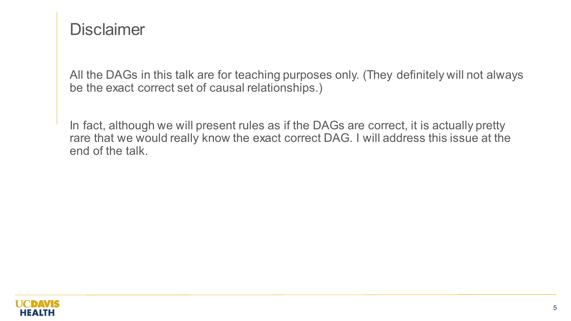### **Disclaimer**

All the DAGs in this talk are for teaching purposes only. (They definitely will not always be the exact correct set of causal relationships.)

In fact, although we will present rules as if the DAGs are correct, it is actually pretty rare that we would really know the exact correct DAG. I will address this issue at the end of the talk.

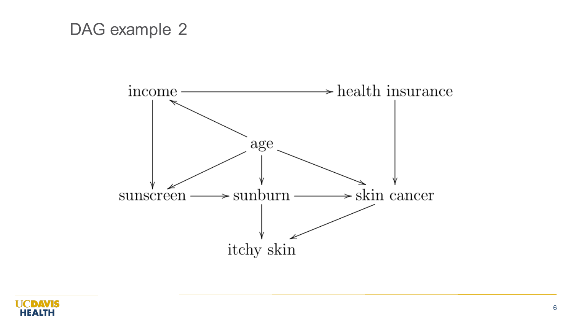

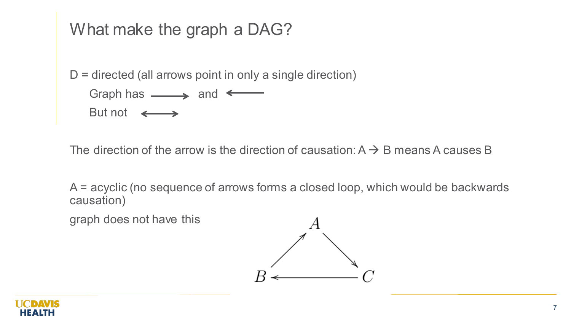## What make the graph a DAG?

 $D =$  directed (all arrows point in only a single direction)

Graph has  $\longrightarrow$  and  $\longleftarrow$ But not  $\longleftrightarrow$ 

The direction of the arrow is the direction of causation:  $A \rightarrow B$  means A causes B

A = acyclic (no sequence of arrows forms a closed loop, which would be backwards causation)

graph does not have this



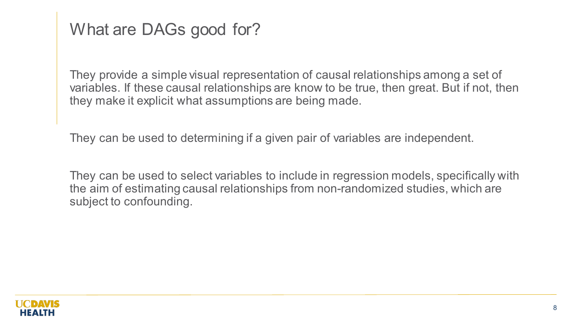## What are DAGs good for?

They provide a simple visual representation of causal relationships among a set of variables. If these causal relationships are know to be true, then great. But if not, then they make it explicit what assumptions are being made.

They can be used to determining if a given pair of variables are independent.

They can be used to select variables to include in regression models, specifically with the aim of estimating causal relationships from non-randomized studies, which are subject to confounding.

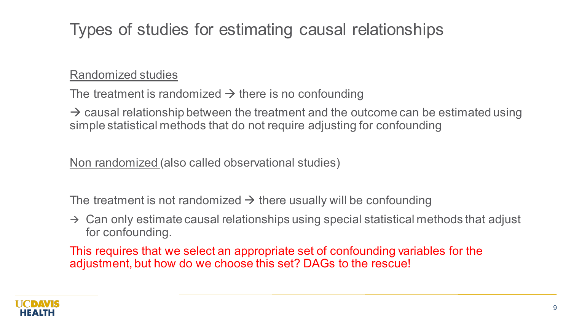# Types of studies for estimating causal relationships

#### Randomized studies

The treatment is randomized  $\rightarrow$  there is no confounding

 $\rightarrow$  causal relationship between the treatment and the outcome can be estimated using simple statistical methods that do not require adjusting for confounding

Non randomized (also called observational studies)

The treatment is not randomized  $\rightarrow$  there usually will be confounding

 $\rightarrow$  Can only estimate causal relationships using special statistical methods that adjust for confounding.

This requires that we select an appropriate set of confounding variables for the adjustment, but how do we choose this set? DAGs to the rescue!

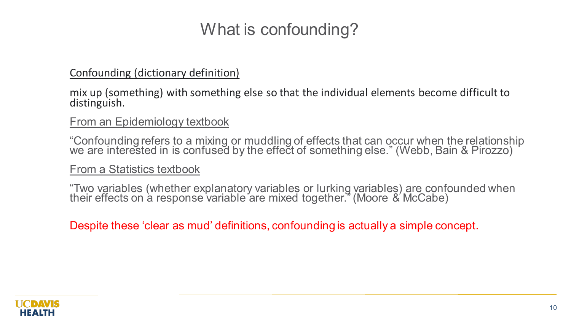# What is confounding?

#### Confounding (dictionary definition)

mix up (something) with something else so that the individual elements become difficult to distinguish.

#### From an Epidemiology textbook

"Confounding refers to a mixing or muddling of effects that can occur when the relationship we are interested in is confused by the effect of something else." (Webb, Bain & Pirozzo)

From a Statistics textbook

"Two variables (whether explanatory variables or lurking variables) are confounded when their effects on à response variable are mixed together." (Moore & McCabe)

Despite these 'clear as mud' definitions, confounding is actually a simple concept.

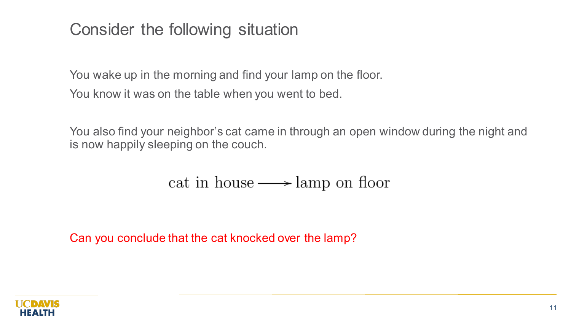## Consider the following situation

You wake up in the morning and find your lamp on the floor. You know it was on the table when you went to bed.

You also find your neighbor's cat came in through an open window during the night and is now happily sleeping on the couch.

#### cat in house  $\longrightarrow$  lamp on floor

Can you conclude that the cat knocked over the lamp?

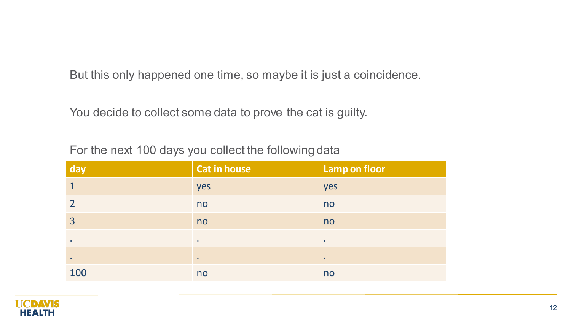But this only happened one time, so maybe it is just a coincidence.

You decide to collect some data to prove the cat is guilty.

For the next 100 days you collect the following data

| day            | <b>Cat in house</b> | <b>Lamp on floor</b> |
|----------------|---------------------|----------------------|
| $\mathbf 1$    | yes                 | yes                  |
| $\overline{2}$ | no                  | no                   |
| $\overline{3}$ | no                  | no                   |
| $\bullet$      | $\bullet$           | $\bullet$            |
| $\bullet$      | $\bullet$           | $\bullet$            |
| 100            | no                  | no                   |

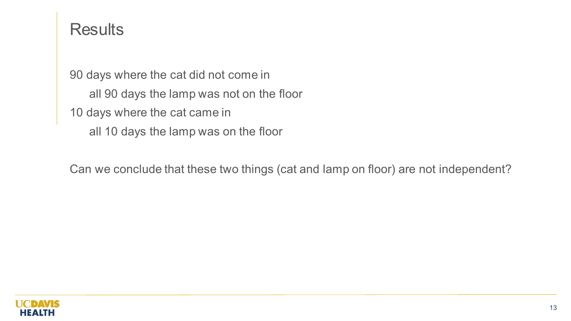#### **Results**

90 days where the cat did not come in all 90 days the lamp was not on the floor 10 days where the cat came in all 10 days the lamp was on the floor

Can we conclude that these two things (cat and lamp on floor) are not independent?

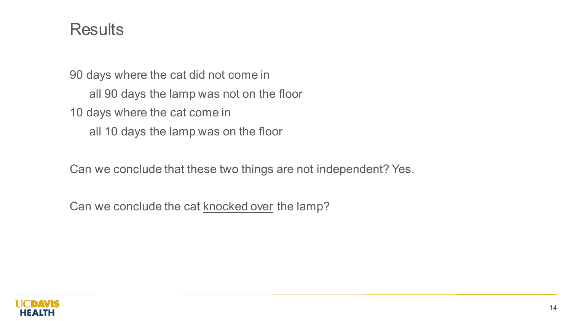#### **Results**

90 days where the cat did not come in all 90 days the lamp was not on the floor 10 days where the cat come in all 10 days the lamp was on the floor

Can we conclude that these two things are not independent? Yes.

Can we conclude the cat **knocked over** the lamp?

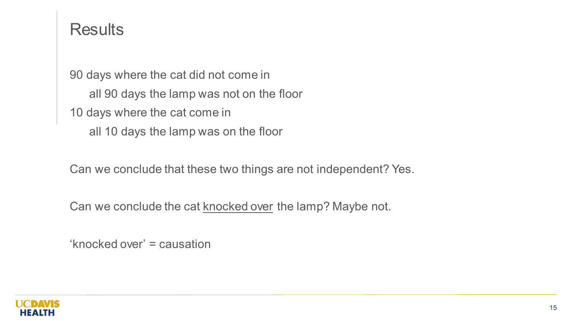#### **Results**

90 days where the cat did not come in all 90 days the lamp was not on the floor 10 days where the cat come in all 10 days the lamp was on the floor

Can we conclude that these two things are not independent? Yes.

Can we conclude the cat **knocked over** the lamp? Maybe not.

'knocked over' = causation

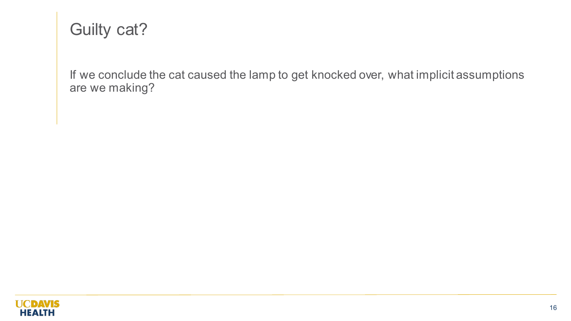## Guilty cat?

If we conclude the cat caused the lamp to get knocked over, what implicit assumptions are we making?

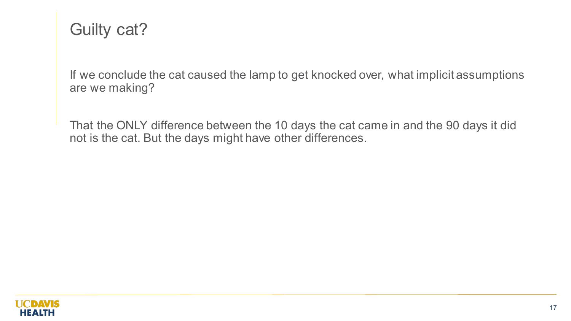## Guilty cat?

If we conclude the cat caused the lamp to get knocked over, what implicit assumptions are we making?

That the ONLY difference between the 10 days the cat came in and the 90 days it did not is the cat. But the days might have other differences.

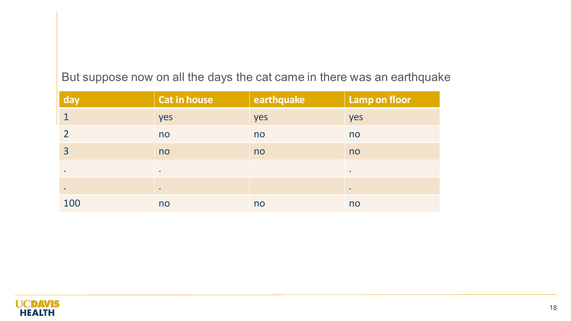| day       | <b>Cat in house</b> | earthquake | <b>Lamp on floor</b> |
|-----------|---------------------|------------|----------------------|
|           | yes                 | yes        | yes                  |
|           | no                  | no         | no                   |
| 3         | no                  | no         | no                   |
| $\bullet$ | $\bullet$           |            | $\bullet$            |
| $\bullet$ |                     |            |                      |
| 100       | no                  | no         | no                   |

#### But suppose now on all the days the cat came in there was an earthquake

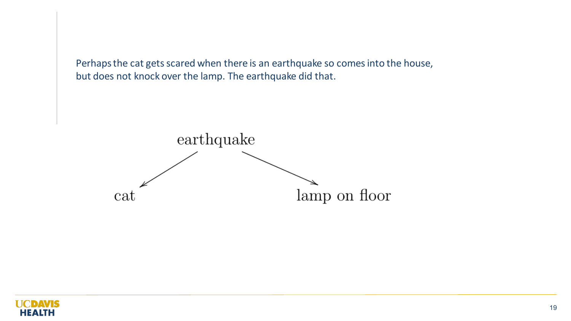Perhaps the cat gets scared when there is an earthquake so comes into the house, but does not knock over the lamp. The earthquake did that.



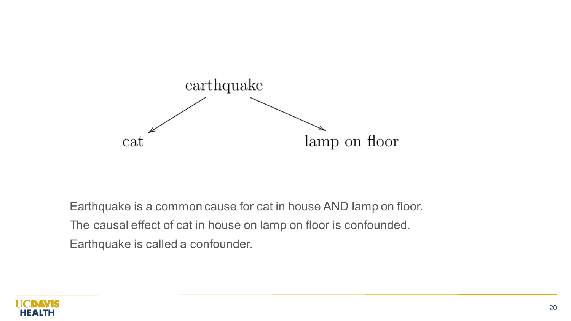

Earthquake is a common cause for cat in house AND lamp on floor. The causal effect of cat in house on lamp on floor is confounded. Earthquake is called a confounder.

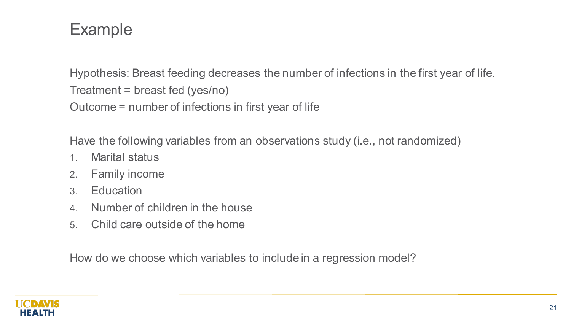# Example

Hypothesis: Breast feeding decreases the number of infections in the first year of life. Treatment = breast fed (yes/no) Outcome = number of infections in first year of life

Have the following variables from an observations study (i.e., not randomized)

- 1. Marital status
- 2. Family income
- 3. Education
- 4. Number of children in the house
- 5. Child care outside of the home

How do we choose which variables to include in a regression model?

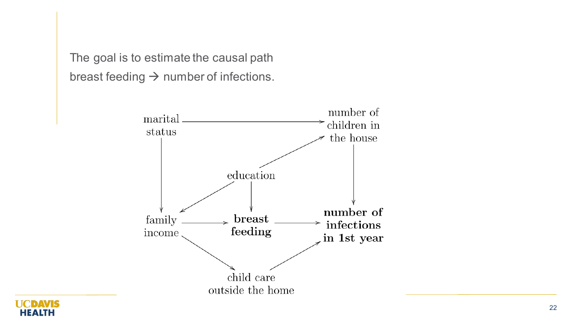The goal is to estimate the causal path breast feeding  $\rightarrow$  number of infections.



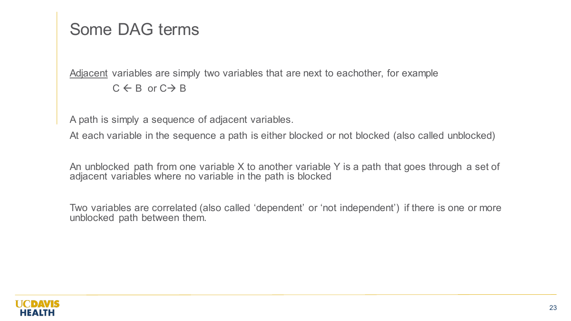## Some DAG terms

Adjacent variables are simply two variables that are next to eachother, for example  $C \leftarrow B$  or  $C \rightarrow B$ 

A path is simply a sequence of adjacent variables.

At each variable in the sequence a path is either blocked or not blocked (also called unblocked)

An unblocked path from one variable X to another variable Y is a path that goes through a set of adjacent variables where no variable in the path is blocked

Two variables are correlated (also called 'dependent' or 'not independent') if there is one or more unblocked path between them.

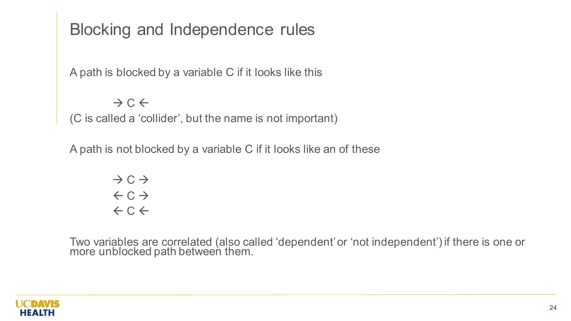## Blocking and Independence rules

A path is blocked by a variable C if it looks like this

 $\rightarrow$  C  $\leftarrow$ 

(C is called a 'collider', but the name is not important)

A path is not blocked by a variable C if it looks like an of these

$$
\begin{array}{c}\n\rightarrow & C \rightarrow \\
\leftarrow & C \rightarrow \\
\leftarrow & C \leftarrow\n\end{array}
$$

Two variables are correlated (also called 'dependent' or 'not independent') if there is one or more unblocked path between them.

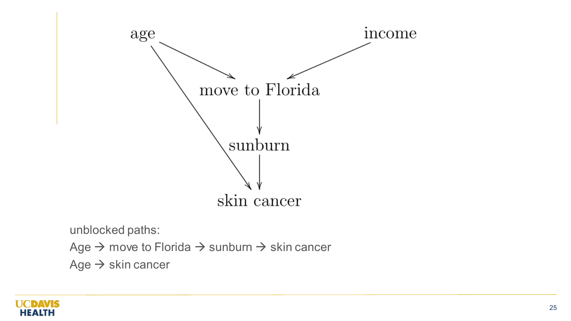

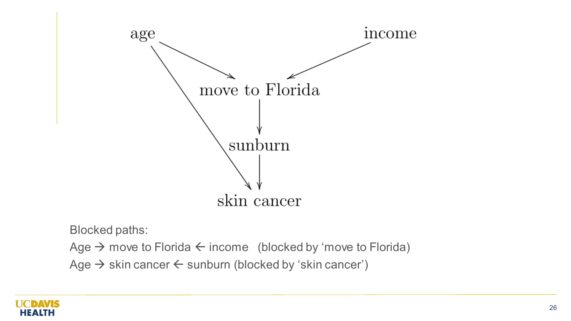

Blocked paths:

Age  $\rightarrow$  move to Florida  $\leftarrow$  income (blocked by 'move to Florida) Age  $\rightarrow$  skin cancer  $\leftarrow$  sunburn (blocked by 'skin cancer')

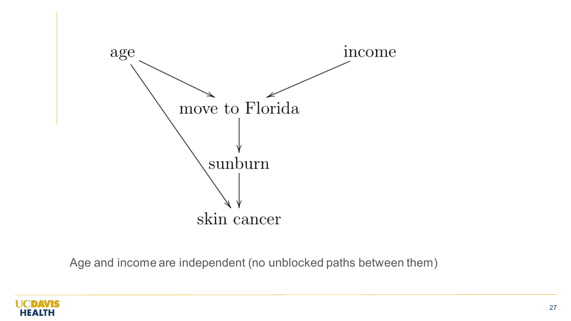

Age and income are independent (no unblocked paths between them)

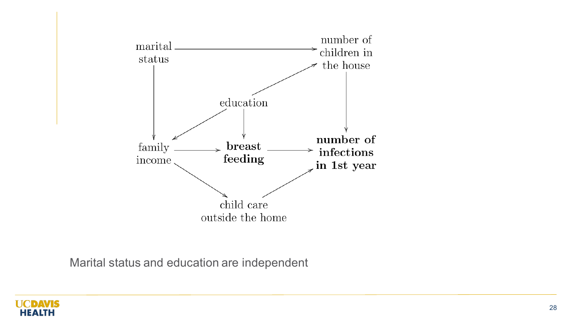

Marital status and education are independent

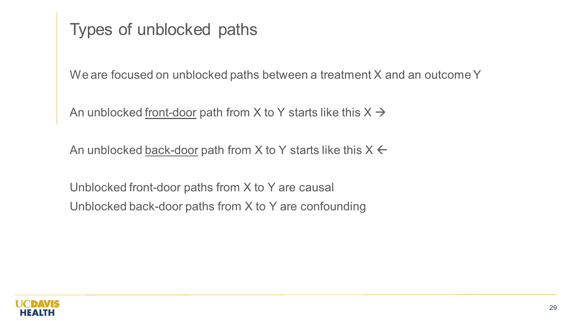Types of unblocked paths

We are focused on unblocked paths between a treatment X and an outcome Y

An unblocked front-door path from X to Y starts like this  $X \rightarrow$ 

An unblocked back-door path from X to Y starts like this  $X \leftarrow$ 

Unblocked front-door paths from X to Y are causal Unblocked back-door paths from X to Y are confounding

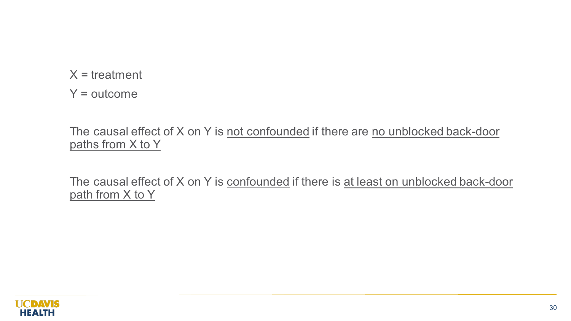$X =$  treatment

 $Y =$  outcome

The causal effect of X on Y is not confounded if there are no unblocked back-door paths from X to Y

The causal effect of X on Y is confounded if there is at least on unblocked back-door path from X to Y

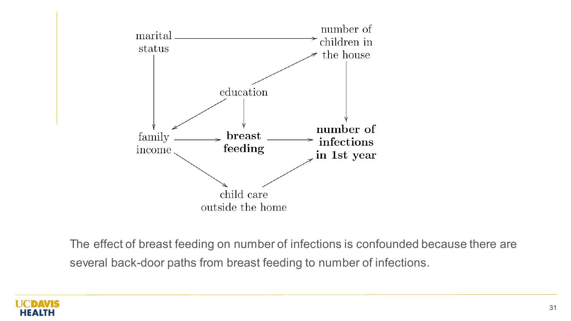

The effect of breast feeding on number of infections is confounded because there are several back-door paths from breast feeding to number of infections.

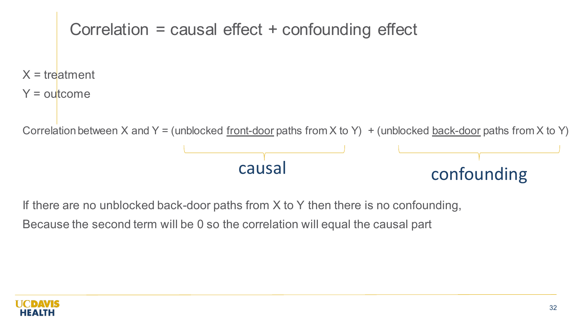

If there are no unblocked back-door paths from X to Y then there is no confounding,

Because the second term will be 0 so the correlation will equal the causal part

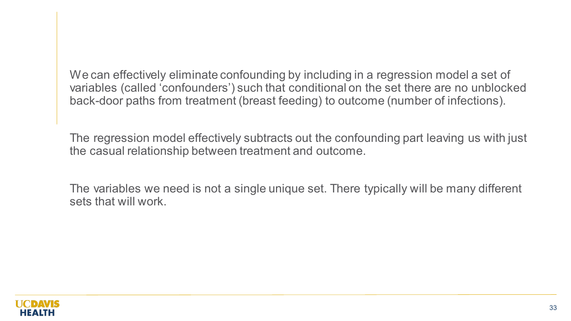We can effectively eliminate confounding by including in a regression model a set of variables (called 'confounders') such that conditional on the set there are no unblocked back-door paths from treatment (breast feeding) to outcome (number of infections).

The regression model effectively subtracts out the confounding part leaving us with just the casual relationship between treatment and outcome.

The variables we need is not a single unique set. There typically will be many different sets that will work.

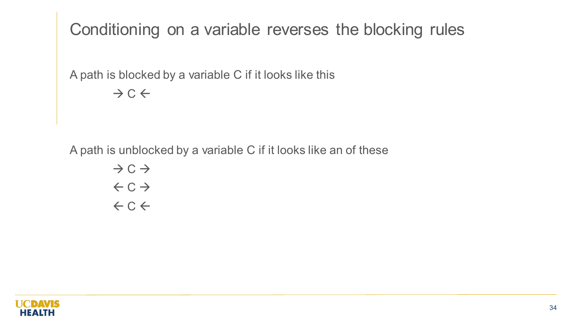Conditioning on a variable reverses the blocking rules

A path is blocked by a variable C if it looks like this

 $\rightarrow$  C  $\leftarrow$ 

A path is unblocked by a variable C if it looks like an of these

$$
\begin{array}{c}\n\rightarrow & C \rightarrow \\
\leftarrow & C \rightarrow \\
\leftarrow & C \leftarrow\n\end{array}
$$

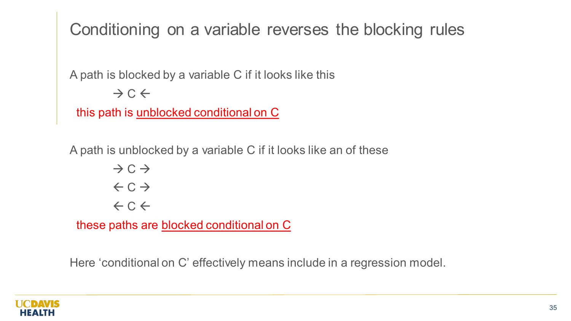Conditioning on a variable reverses the blocking rules

A path is blocked by a variable C if it looks like this

 $\rightarrow$  C  $\leftarrow$ 

this path is unblocked conditional on C

A path is unblocked by a variable C if it looks like an of these

 $\rightarrow$  C  $\rightarrow$  $\leftarrow$  C  $\rightarrow$  $\leftarrow$  C  $\leftarrow$ 

these paths are blocked conditional on C

Here 'conditional on C' effectively means include in a regression model.

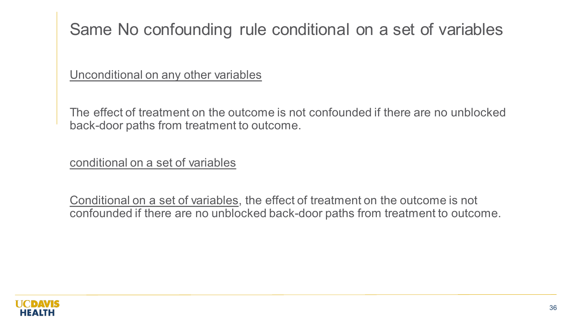## Same No confounding rule conditional on a set of variables

Unconditional on any other variables

The effect of treatment on the outcome is not confounded if there are no unblocked back-door paths from treatment to outcome.

conditional on a set of variables

Conditional on a set of variables, the effect of treatment on the outcome is not confounded if there are no unblocked back-door paths from treatment to outcome.

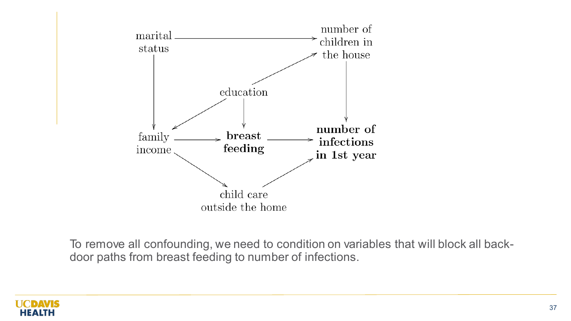

To remove all confounding, we need to condition on variables that will block all backdoor paths from breast feeding to number of infections.

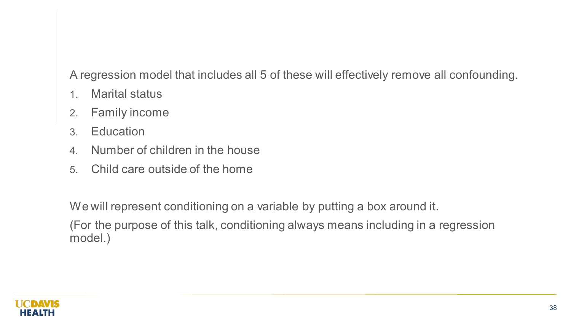A regression model that includes all 5 of these will effectively remove all confounding.

- 1. Marital status
- 2. Family income
- 3. Education
- 4. Number of children in the house
- 5. Child care outside of the home

We will represent conditioning on a variable by putting a box around it.

(For the purpose of this talk, conditioning always means including in a regression model.)

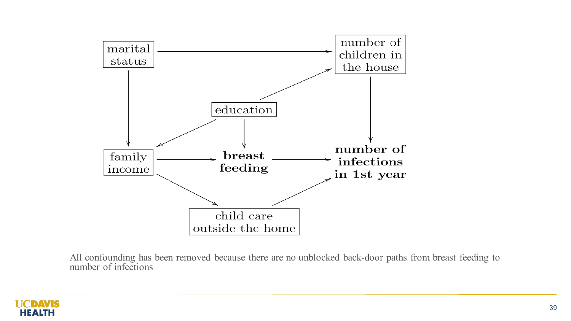

All confounding has been removed because there are no unblocked back-door paths from breast feeding to number of infections

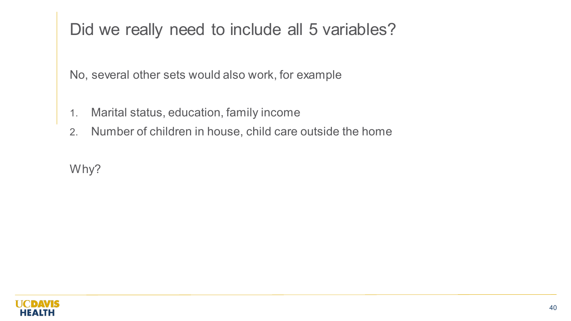# Did we really need to include all 5 variables?

No, several other sets would also work, for example

- 1. Marital status, education, family income
- 2. Number of children in house, child care outside the home

Why?

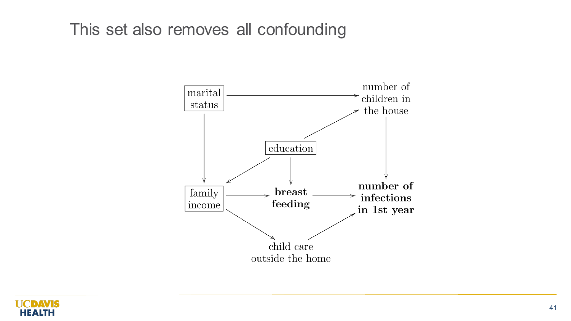### This set also removes all confounding



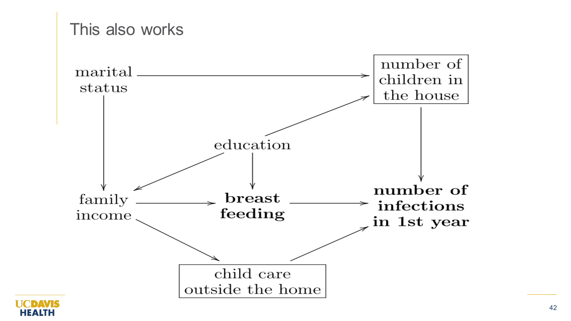

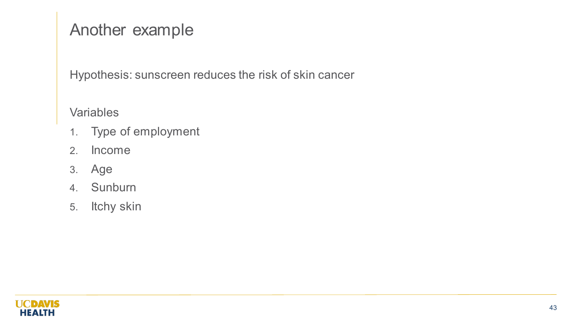# Another example

Hypothesis: sunscreen reduces the risk of skin cancer

**Variables** 

- 1. Type of employment
- 2. Income
- 3. Age
- 4. Sunburn
- 5. Itchy skin

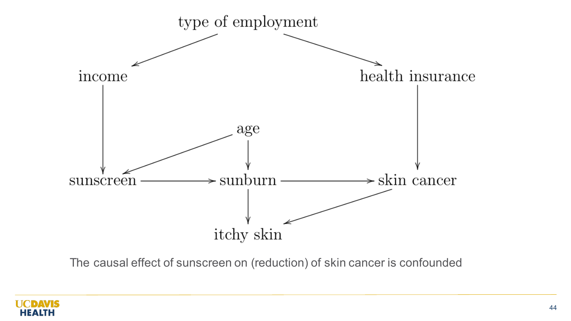

The causal effect of sunscreen on (reduction) of skin cancer is confounded

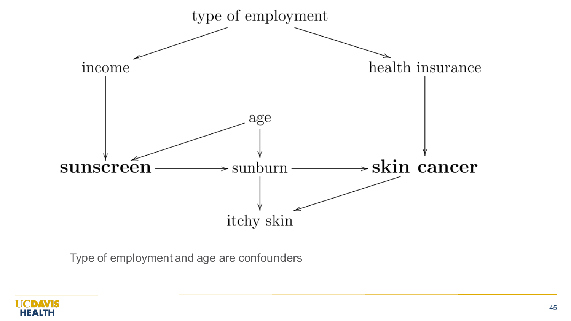

Type of employment and age are confounders

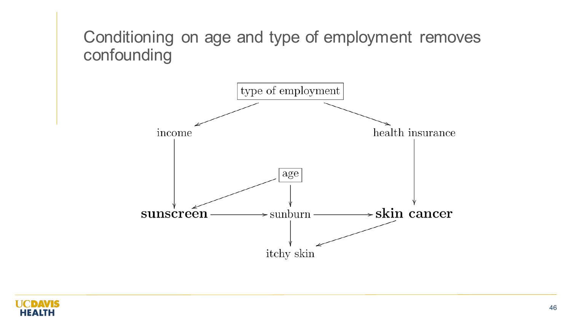## Conditioning on age and type of employment removes confounding



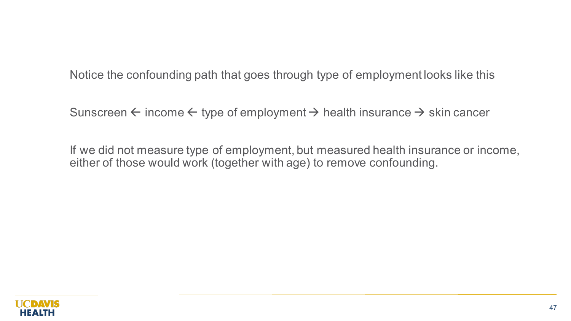Notice the confounding path that goes through type of employment looks like this

Sunscreen  $\leftarrow$  income  $\leftarrow$  type of employment  $\rightarrow$  health insurance  $\rightarrow$  skin cancer

If we did not measure type of employment, but measured health insurance or income, either of those would work (together with age) to remove confounding.

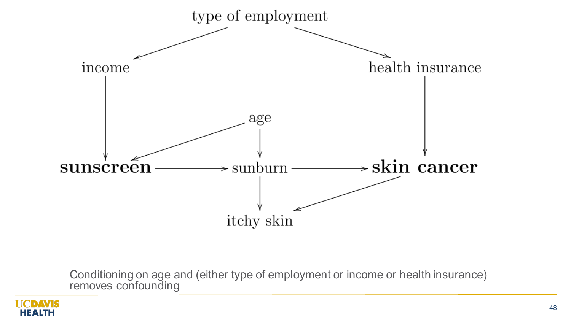

Conditioning on age and (either type of employment or income or health insurance) removes confounding

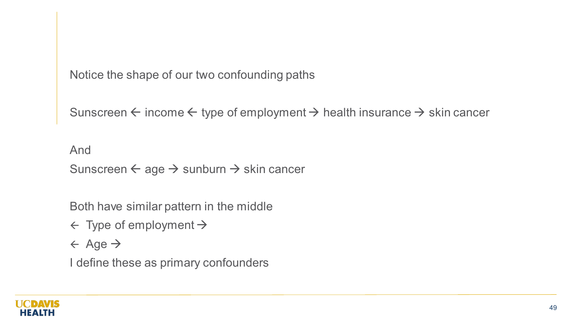Notice the shape of our two confounding paths

Sunscreen  $\leftarrow$  income  $\leftarrow$  type of employment  $\rightarrow$  health insurance  $\rightarrow$  skin cancer

And Sunscreen  $\leftarrow$  age  $\rightarrow$  sunburn  $\rightarrow$  skin cancer

Both have similar pattern in the middle

 $\leftarrow$  Type of employment  $\rightarrow$ 

 $\leftarrow$  Age  $\rightarrow$ 

I define these as primary confounders

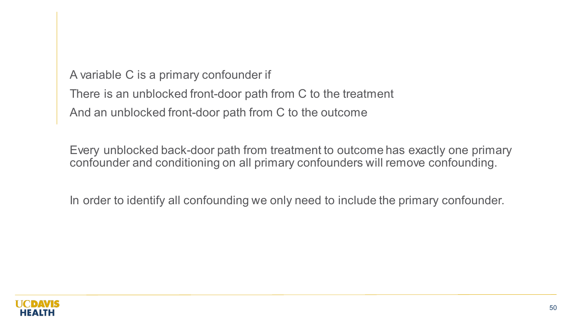A variable C is a primary confounder if There is an unblocked front-door path from C to the treatment And an unblocked front-door path from C to the outcome

Every unblocked back-door path from treatment to outcome has exactly one primary confounder and conditioning on all primary confounders will remove confounding.

In order to identify all confounding we only need to include the primary confounder.

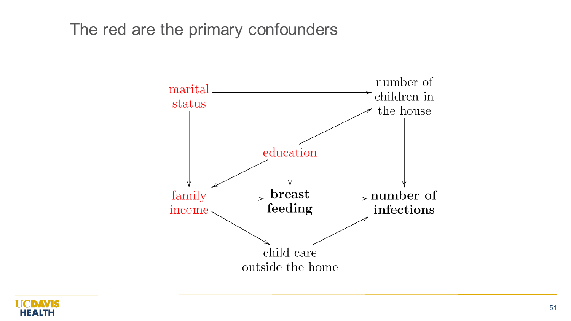## The red are the primary confounders



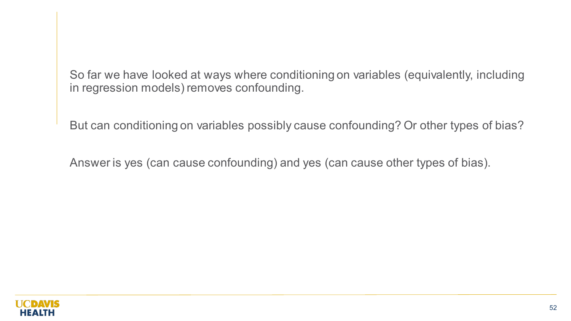So far we have looked at ways where conditioning on variables (equivalently, including in regression models) removes confounding.

But can conditioning on variables possibly cause confounding? Or other types of bias?

Answer is yes (can cause confounding) and yes (can cause other types of bias).

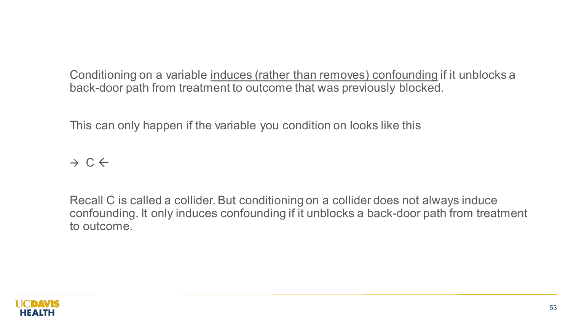Conditioning on a variable induces (rather than removes) confounding if it unblocks a back-door path from treatment to outcome that was previously blocked.

This can only happen if the variable you condition on looks like this

### $\rightarrow$  C  $\leftarrow$

Recall C is called a collider. But conditioning on a collider does not always induce confounding. It only induces confounding if it unblocks a back-door path from treatment to outcome.

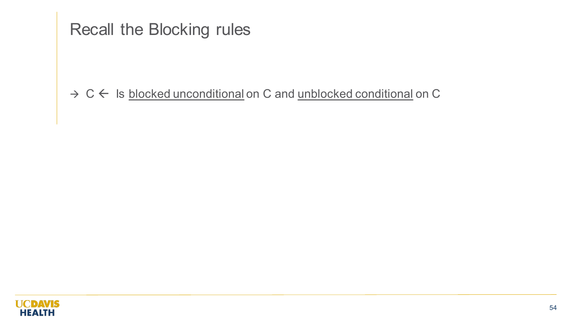# Recall the Blocking rules

#### $\rightarrow$  C  $\leftarrow$  Is blocked unconditional on C and unblocked conditional on C

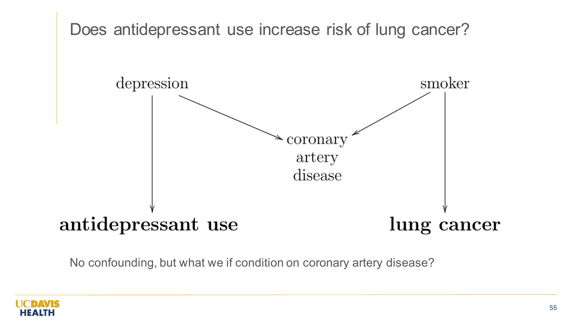

No confounding, but what we if condition on coronary artery disease?

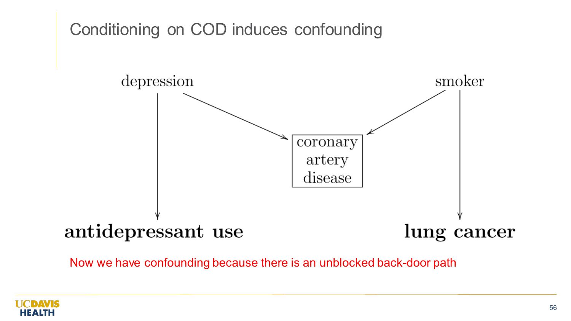

Now we have confounding because there is an unblocked back-door path

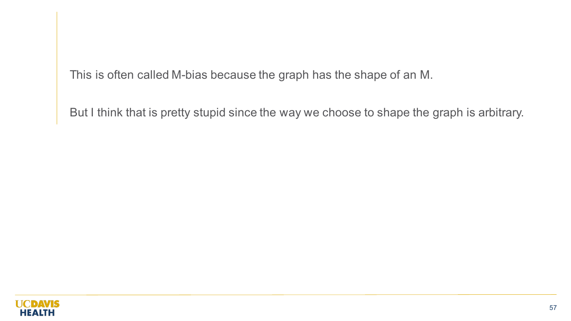This is often called M-bias because the graph has the shape of an M.

But I think that is pretty stupid since the way we choose to shape the graph is arbitrary.

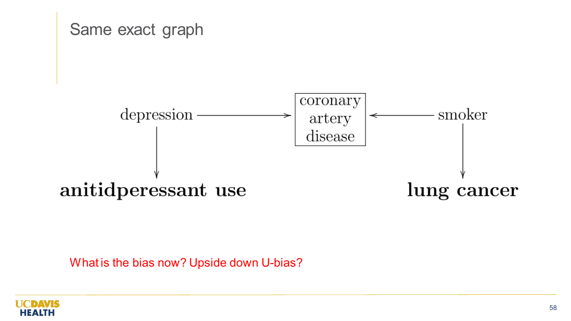

What is the bias now? Upside down U-bias?

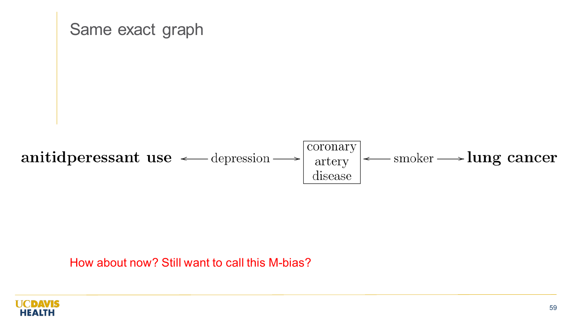

How about now? Still want to call this M-bias?

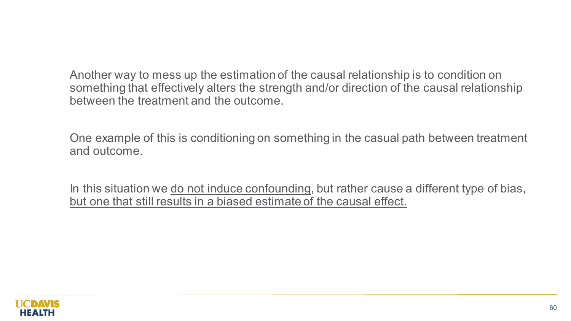Another way to mess up the estimation of the causal relationship is to condition on something that effectively alters the strength and/or direction of the causal relationship between the treatment and the outcome.

One example of this is conditioning on something in the casual path between treatment and outcome.

In this situation we do not induce confounding, but rather cause a different type of bias, but one that still results in a biased estimate of the causal effect.

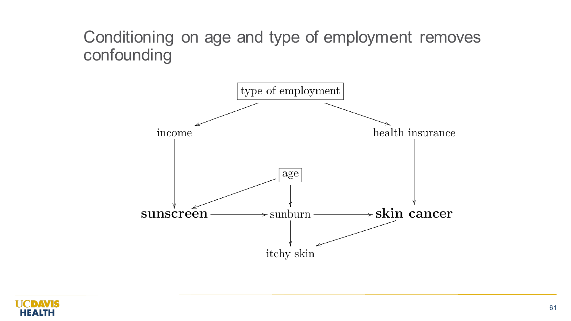# Conditioning on age and type of employment removes confounding



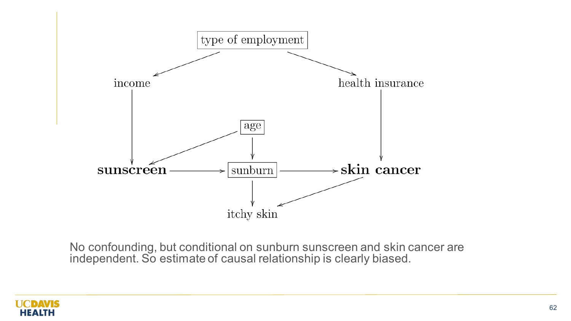

No confounding, but conditional on sunburn sunscreen and skin cancer are independent. So estimate of causal relationship is clearly biased.

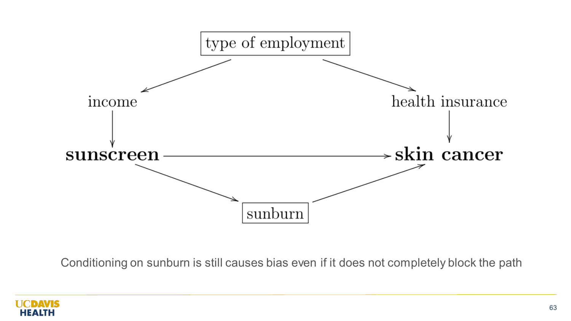

Conditioning on sunburn is still causes bias even if it does not completely block the path

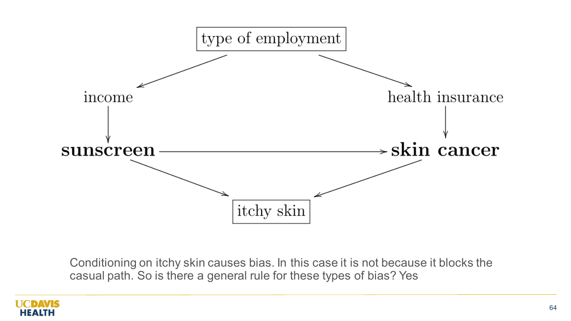

Conditioning on itchy skin causes bias. In this case it is not because it blocks the casual path. So is there a general rule for these types of bias? Yes

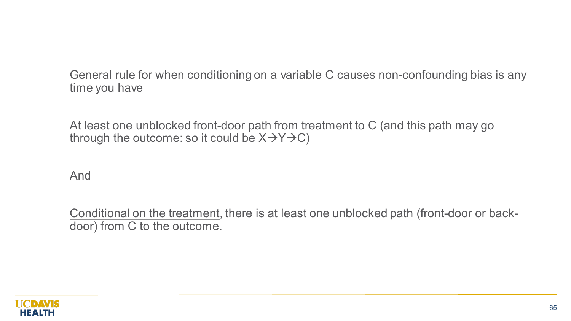General rule for when conditioning on a variable C causes non-confounding bias is any time you have

At least one unblocked front-door path from treatment to C (and this path may go through the outcome: so it could be  $X \rightarrow Y \rightarrow C$ )

And

Conditional on the treatment, there is at least one unblocked path (front-door or backdoor) from C to the outcome.

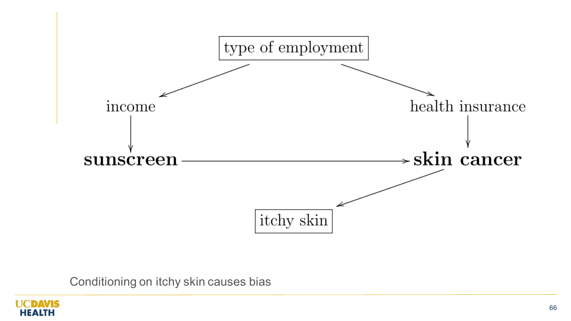

Conditioning on itchy skin causes bias

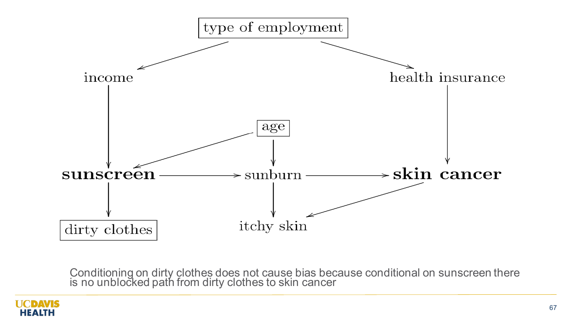

Conditioning on dirty clothes does not cause bias because conditional on sunscreen there is no unblocked path from dirty clothes to skin cancer

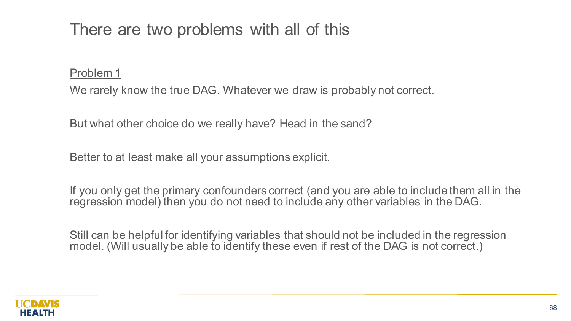# There are two problems with all of this

Problem 1

We rarely know the true DAG. Whatever we draw is probably not correct.

But what other choice do we really have? Head in the sand?

Better to at least make all your assumptions explicit.

If you only get the primary confounders correct (and you are able to include them all in the regression model) then you do not need to include any other variables in the DAG.

Still can be helpful for identifying variables that should not be included in the regression model. (Will usually be able to identify these even if rest of the DAG is not correct.)

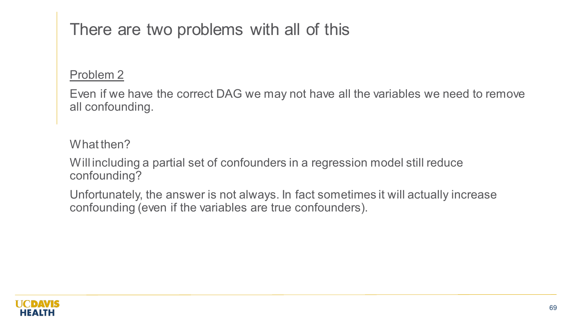# There are two problems with all of this

#### Problem 2

Even if we have the correct DAG we may not have all the variables we need to remove all confounding.

What then?

Will including a partial set of confounders in a regression model still reduce confounding?

Unfortunately, the answer is not always. In fact sometimes it will actually increase confounding (even if the variables are true confounders).

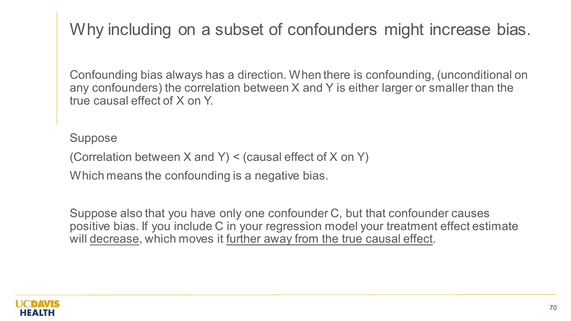Why including on a subset of confounders might increase bias.

Confounding bias always has a direction. When there is confounding, (unconditional on any confounders) the correlation between X and Y is either larger or smaller than the true causal effect of X on Y.

Suppose

(Correlation between X and Y) < (causal effect of X on Y)

Which means the confounding is a negative bias.

Suppose also that you have only one confounder C, but that confounder causes positive bias. If you include C in your regression model your treatment effect estimate will decrease, which moves it further away from the true causal effect.

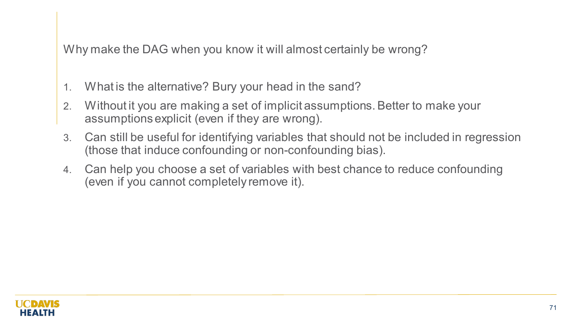Why make the DAG when you know it will almost certainly be wrong?

- 1. What is the alternative? Bury your head in the sand?
- 2. Without it you are making a set of implicit assumptions. Better to make your assumptions explicit (even if they are wrong).
- 3. Can still be useful for identifying variables that should not be included in regression (those that induce confounding or non-confounding bias).
- 4. Can help you choose a set of variables with best chance to reduce confounding (even if you cannot completely remove it).

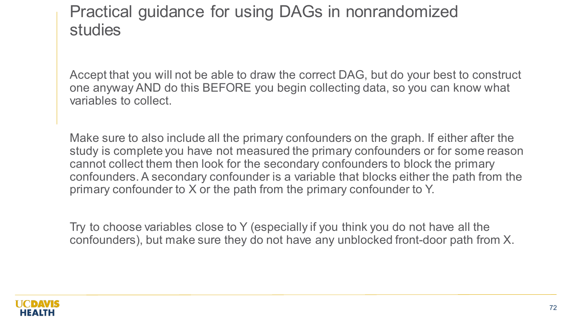### Practical guidance for using DAGs in nonrandomized studies

Accept that you will not be able to draw the correct DAG, but do your best to construct one anyway AND do this BEFORE you begin collecting data, so you can know what variables to collect.

Make sure to also include all the primary confounders on the graph. If either after the study is complete you have not measured the primary confounders or for some reason cannot collect them then look for the secondary confounders to block the primary confounders. A secondary confounder is a variable that blocks either the path from the primary confounder to X or the path from the primary confounder to Y.

Try to choose variables close to Y (especially if you think you do not have all the confounders), but make sure they do not have any unblocked front-door path from X.